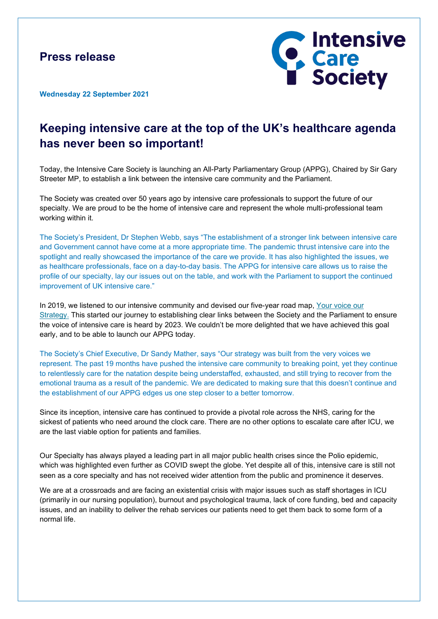### **Press release**



**Wednesday 22 September 2021**

# **Keeping intensive care at the top of the UK's healthcare agenda has never been so important!**

Today, the Intensive Care Society is launching an All-Party Parliamentary Group (APPG), Chaired by Sir Gary Streeter MP, to establish a link between the intensive care community and the Parliament.

The Society was created over 50 years ago by intensive care professionals to support the future of our specialty. We are proud to be the home of intensive care and represent the whole multi-professional team working within it.

The Society's President, Dr Stephen Webb, says "The establishment of a stronger link between intensive care and Government cannot have come at a more appropriate time. The pandemic thrust intensive care into the spotlight and really showcased the importance of the care we provide. It has also highlighted the issues, we as healthcare professionals, face on a day-to-day basis. The APPG for intensive care allows us to raise the profile of our specialty, lay our issues out on the table, and work with the Parliament to support the continued improvement of UK intensive care."

In 2019, we listened to our intensive community and devised our five-year road map, [Your voice our](https://www.ics.ac.uk/Society/Policy_and_Communications/Articles/Your_Society_Our_Strategy)  [Strategy.](https://www.ics.ac.uk/Society/Policy_and_Communications/Articles/Your_Society_Our_Strategy) This started our journey to establishing clear links between the Society and the Parliament to ensure the voice of intensive care is heard by 2023. We couldn't be more delighted that we have achieved this goal early, and to be able to launch our APPG today.

The Society's Chief Executive, Dr Sandy Mather, says "Our strategy was built from the very voices we represent. The past 19 months have pushed the intensive care community to breaking point, yet they continue to relentlessly care for the natation despite being understaffed, exhausted, and still trying to recover from the emotional trauma as a result of the pandemic. We are dedicated to making sure that this doesn't continue and the establishment of our APPG edges us one step closer to a better tomorrow.

Since its inception, intensive care has continued to provide a pivotal role across the NHS, caring for the sickest of patients who need around the clock care. There are no other options to escalate care after ICU, we are the last viable option for patients and families.

Our Specialty has always played a leading part in all major public health crises since the Polio epidemic, which was highlighted even further as COVID swept the globe. Yet despite all of this, intensive care is still not seen as a core specialty and has not received wider attention from the public and prominence it deserves.

We are at a crossroads and are facing an existential crisis with major issues such as staff shortages in ICU (primarily in our nursing population), burnout and psychological trauma, lack of core funding, bed and capacity issues, and an inability to deliver the rehab services our patients need to get them back to some form of a normal life.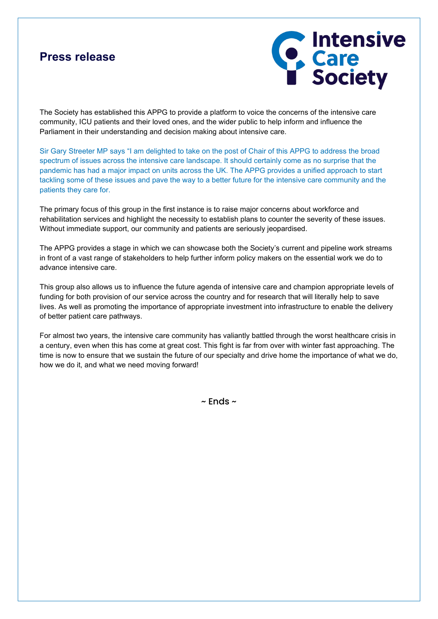### **Press release**



The Society has established this APPG to provide a platform to voice the concerns of the intensive care community, ICU patients and their loved ones, and the wider public to help inform and influence the Parliament in their understanding and decision making about intensive care.

Sir Gary Streeter MP says "I am delighted to take on the post of Chair of this APPG to address the broad spectrum of issues across the intensive care landscape. It should certainly come as no surprise that the pandemic has had a major impact on units across the UK. The APPG provides a unified approach to start tackling some of these issues and pave the way to a better future for the intensive care community and the patients they care for.

The primary focus of this group in the first instance is to raise major concerns about workforce and rehabilitation services and highlight the necessity to establish plans to counter the severity of these issues. Without immediate support, our community and patients are seriously jeopardised.

The APPG provides a stage in which we can showcase both the Society's current and pipeline work streams in front of a vast range of stakeholders to help further inform policy makers on the essential work we do to advance intensive care.

This group also allows us to influence the future agenda of intensive care and champion appropriate levels of funding for both provision of our service across the country and for research that will literally help to save lives. As well as promoting the importance of appropriate investment into infrastructure to enable the delivery of better patient care pathways.

For almost two years, the intensive care community has valiantly battled through the worst healthcare crisis in a century, even when this has come at great cost. This fight is far from over with winter fast approaching. The time is now to ensure that we sustain the future of our specialty and drive home the importance of what we do, how we do it, and what we need moving forward!

 $\sim$  Ends  $\sim$